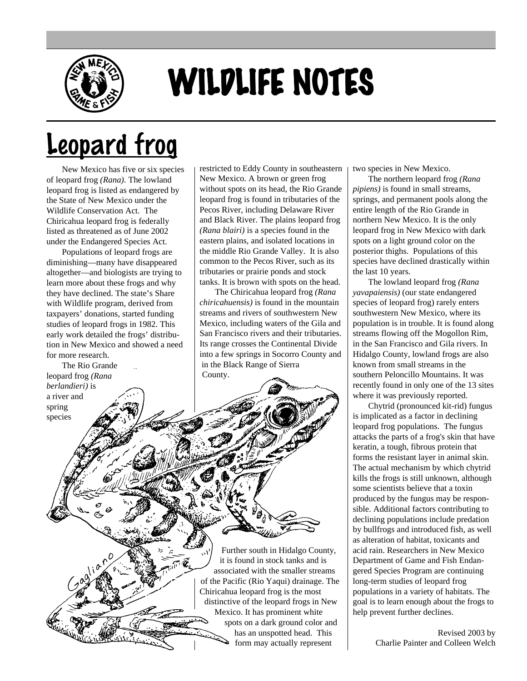

## WILDLIFE NOTES

## Leopard frog

New Mexico has five or six species of leopard frog *(Rana).* The lowland leopard frog is listed as endangered by the State of New Mexico under the Wildlife Conservation Act. The Chiricahua leopard frog is federally listed as threatened as of June 2002 under the Endangered Species Act.

Populations of leopard frogs are diminishing—many have disappeared altogether—and biologists are trying to learn more about these frogs and why they have declined. The state's Share with Wildlife program, derived from taxpayers' donations, started funding studies of leopard frogs in 1982. This early work detailed the frogs' distribution in New Mexico and showed a need for more research.

The Rio Grande leopard frog *(Rana berlandieri)* is a river and

spring species

restricted to Eddy County in southeastern New Mexico. A brown or green frog without spots on its head, the Rio Grande leopard frog is found in tributaries of the Pecos River, including Delaware River and Black River. The plains leopard frog *(Rana blairi)* is a species found in the eastern plains, and isolated locations in the middle Rio Grande Valley. It is also common to the Pecos River, such as its tributaries or prairie ponds and stock tanks. It is brown with spots on the head.

The Chiricahua leopard frog *(Rana chiricahuensis)* is found in the mountain streams and rivers of southwestern New Mexico, including waters of the Gila and San Francisco rivers and their tributaries. Its range crosses the Continental Divide into a few springs in Socorro County and in the Black Range of Sierra County.

Further south in Hidalgo County, it is found in stock tanks and is associated with the smaller streams of the Pacific (Rio Yaqui) drainage. The Chiricahua leopard frog is the most distinctive of the leopard frogs in New Mexico. It has prominent white spots on a dark ground color and has an unspotted head. This form may actually represent

two species in New Mexico.

The northern leopard frog *(Rana pipiens)* is found in small streams, springs, and permanent pools along the entire length of the Rio Grande in northern New Mexico. It is the only leopard frog in New Mexico with dark spots on a light ground color on the posterior thighs. Populations of this species have declined drastically within the last 10 years.

The lowland leopard frog *(Rana yavapaiensis)* (our state endangered species of leopard frog) rarely enters southwestern New Mexico, where its population is in trouble. It is found along streams flowing off the Mogollon Rim, in the San Francisco and Gila rivers. In Hidalgo County, lowland frogs are also known from small streams in the southern Peloncillo Mountains. It was recently found in only one of the 13 sites where it was previously reported.

Chytrid (pronounced kit-rid) fungus is implicated as a factor in declining leopard frog populations. The fungus attacks the parts of a frog's skin that have keratin, a tough, fibrous protein that forms the resistant layer in animal skin. The actual mechanism by which chytrid kills the frogs is still unknown, although some scientists believe that a toxin produced by the fungus may be responsible. Additional factors contributing to declining populations include predation by bullfrogs and introduced fish, as well as alteration of habitat, toxicants and acid rain. Researchers in New Mexico Department of Game and Fish Endangered Species Program are continuing long-term studies of leopard frog populations in a variety of habitats. The goal is to learn enough about the frogs to help prevent further declines.

> Revised 2003 by Charlie Painter and Colleen Welch